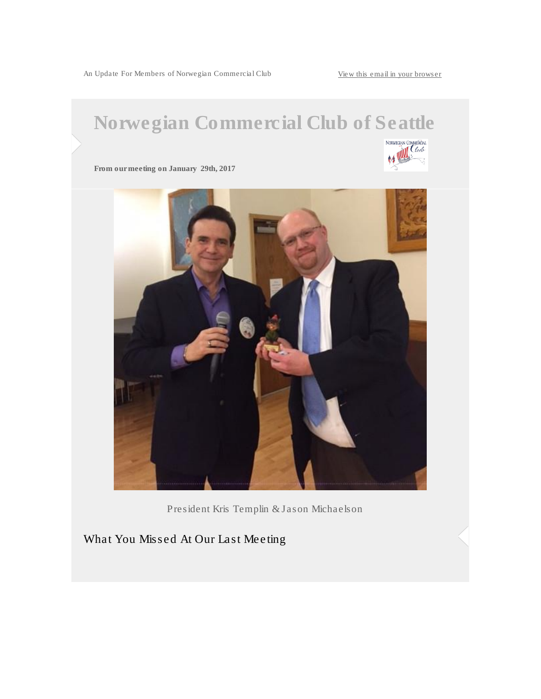An Update For Members of Norwegian Commercial Club [View this email in your browser](*|ARCHIVE|*)

## Norwegian Commercial Club of Seattle



From our meeting on January 29th, 2017



President Kris Templin & Jason Michaelson

What You Missed At Our Last Meeting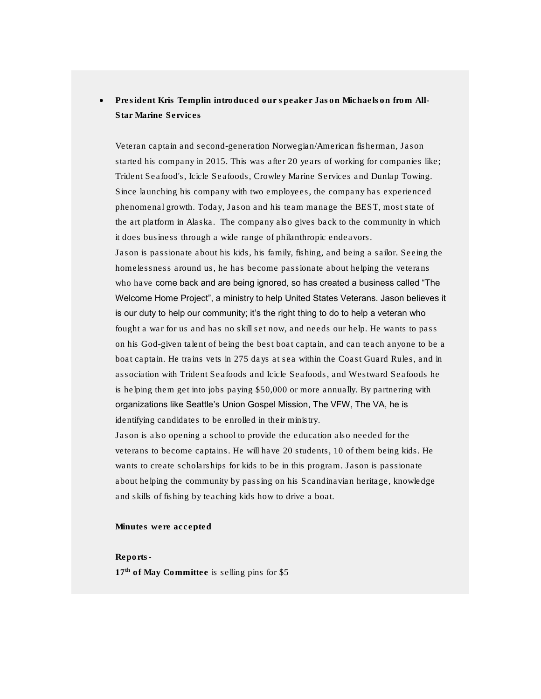President Kris Templin introduced our speaker Jason Michaelson from All-Star Marine Services

Veteran captain and second-generation Norwegian/American fisherman, Jason started his company in 2015. This was after 20 years of working for companies like; Trident Seafood's, Icicle Seafoods, Crowley Marine Services and Dunlap Towing. Since launching his company with two employees, the company has experienced phenomenal growth. Today, Jason and his team manage the BEST, most state of the art platform in Alaska. The company also gives back to the community in which it does business through a wide range of philanthropic endeavors.

Jason is passionate about his kids, his family, fishing, and being a sailor. Seeing the homelessness around us, he has become passionate about helping the veterans who have come back and are being ignored, so has created a business called "The Welcome Home Project", a ministry to help United States Veterans. Jason believes it is our duty to help our community; it's the right thing to do to help a veteran who fought a war for us and has no skill set now, and needs our help. He wants to pass on his God-given talent of being the best boat captain, and can teach anyone to be a boat captain. He trains vets in 275 days at sea within the Coast Guard Rules, and in association with Trident Seafoods and Icicle Seafoods, and Westward Seafoods he is helping them get into jobs paying \$50,000 or more annually. By partnering with organizations like Seattle's Union Gospel Mission, The VFW, The VA, he is identifying candidates to be enrolled in their ministry.

Jason is also opening a school to provide the education also needed for the veterans to become captains. He will have 20 students, 10 of them being kids. He wants to create scholarships for kids to be in this program. Jason is passionate about helping the community by passing on his Scandinavian heritage, knowledge and skills of fishing by teaching kids how to drive a boat.

Minutes were accepted

Reports-

17<sup>th</sup> of May Committee is selling pins for \$5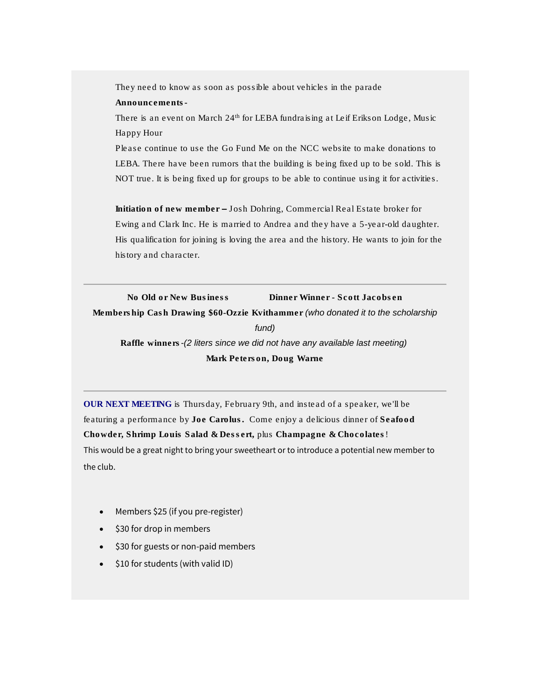They need to know as soon as possible about vehicles in the parade Announcements-

There is an event on March 24<sup>th</sup> for LEBA fundraising at Leif Erikson Lodge, Music Happy Hour

Please continue to use the Go Fund Me on the NCC website to make donations to LEBA. There have been rumors that the building is being fixed up to be sold. This is NOT true. It is being fixed up for groups to be able to continue using it for activities.

Initiation of new member – Josh Dohring, Commercial Real Estate broker for Ewing and Clark Inc. He is married to Andrea and they have a 5-year-old daughter. His qualification for joining is loving the area and the history. He wants to join for the history and character.

No Old or New Business Dinner Winner - Scott Jacobsen Membership Cash Drawing \$60-Ozzie Kvithammer *(who donated it to the scholarship fund)* Raffle winners*-(2 liters since we did not have any available last meeting)* Mark Peterson, Doug Warne

OUR NEXT MEETING is Thursday, February 9th, and instead of a speaker, we'll be featuring a performance by Joe Carolus. Come enjoy a delicious dinner of Seafood Chowder, Shrimp Louis Salad & Dessert, plus Champagne & Chocolates! This would be a great night to bring your sweetheart or to introduce a potential new member to the club.

- Members \$25 (if you pre-register)
- \$30 for drop in members
- \$30 for guests or non-paid members
- $\bullet$  \$10 for students (with valid ID)